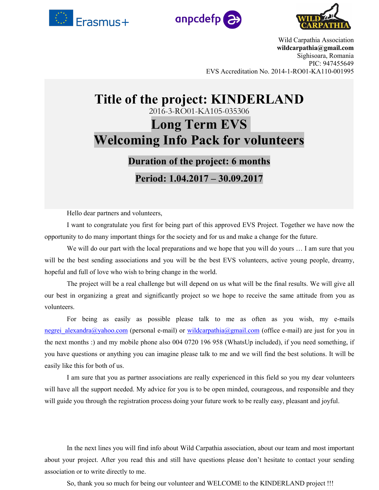





Wild Carpathia Association **wildcarpathia@gmail.com** Sighisoara, Romania PIC: 947455649 EVS Accreditation No. 2014-1-RO01-KA110-001995

# **Title of the project: KINDERLAND** 2016-3-RO01-KA105-035306 **Long Term EVS Welcoming Info Pack for volunteers**

# **Duration of the project: 6 months**

**Period: 1.04.2017 – 30.09.2017**

Hello dear partners and volunteers,

I want to congratulate you first for being part of this approved EVS Project. Together we have now the opportunity to do many important things for the society and forus and make a change for the future.

We will do our part with the local preparations and we hope that you will do yours ... I am sure that you will be the best sending associations and you will be the best EVS volunteers, active young people, dreamy, hopeful and full of love who wish to bring change in the world.

The project will be a real challenge but will depend on us what will be the final results. We will give all our best in organizing a great and significantly project so we hope to receive the same attitude from you as volunteers.

For being as easily as possible please talk to me as often as you wish, my e-mails negrei alexandra@yahoo.com (personal e-mail) or [wildcarpathia@gmail.com](mailto:wildcarpathia@gmail.com) (office e-mail) are just for you in the next months :) and my mobile phone also 004 0720 196 958 (WhatsUp included), if you need something, if you have questions or anything you can imagine please talk to me and we will find the best solutions. It will be easily like this for both of us.

I am sure that you as partner associations are really experienced in this field so you my dear volunteers will have all the support needed. My advice for you is to be open minded, courageous, and responsible and they will guide you through the registration process doing your future work to be really easy, pleasant and joyful.

In the next lines you will find info about Wild Carpathia association, about our team and most important about your project. After you read this and still have questions please don't hesitate to contact your sending association or to write directly to me.

So, thank you so much for being our volunteer and WELCOME to the KINDERLAND project !!!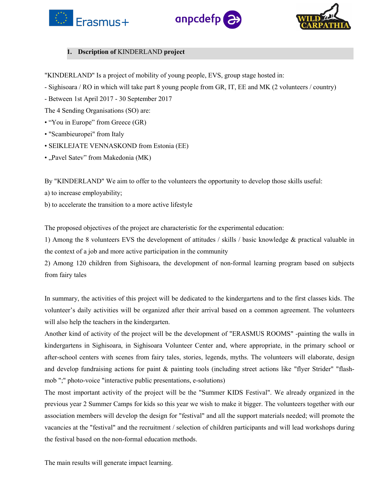





# **1. Dscription of** KINDERLAND **project**

"KINDERLAND" Is a project of mobility of young people, EVS, group stage hosted in:

- Sighisoara / RO in which will take part 8 young people from GR, IT, EE and MK (2 volunteers / country)
- Between 1st April 2017 30 September 2017

The 4 Sending Organisations (SO) are:

- "You in Europe" from Greece (GR)
- "Scambieuropei" from Italy
- SEIKLEJATE VENNASKOND from Estonia (EE)
- "Pavel Satev" from Makedonia (MK)

By "KINDERLAND" We aim to offer to the volunteers the opportunity to develop those skills useful:

a) to increase employability;

b) to accelerate the transition to a more active lifestyle

The proposed objectives of the project are characteristic for the experimental education:

1) Among the 8 volunteers EVS the development of attitudes / skills / basic knowledge & practical valuable in the context of a job and more active participation in the community

2) Among 120 children from Sighisoara, the development of non-formal learning program based on subjects from fairy tales

In summary, the activities of this project will be dedicated to the kindergartens and to the first classes kids. The volunteer's daily activities will be organized after their arrival based on a common agreement. The volunteers will also help the teachers in the kindergarten.

Another kind of activity of the project will be the development of "ERASMUS ROOMS" -painting the walls in kindergartens in Sighisoara, in Sighisoara Volunteer Center and, where appropriate, in the primary school or after-school centers with scenes from fairy tales, stories, legends, myths. The volunteers will elaborate, design and develop fundraising actions for paint & painting tools (including street actions like "flyer Strider" "flash mob ";" photo-voice "interactive public presentations, e-solutions)

The most important activity of the projectwill be the "Summer KIDS Festival". We already organized in the previous year 2 Summer Camps for kids so this year we wish to make itbigger. The volunteers together with our association members will develop the design for "festival" and all the support materials needed; will promote the vacancies at the "festival" and the recruitment / selection of children participants and will lead workshops during the festival based on the non-formal education methods.

The main results will generate impact learning.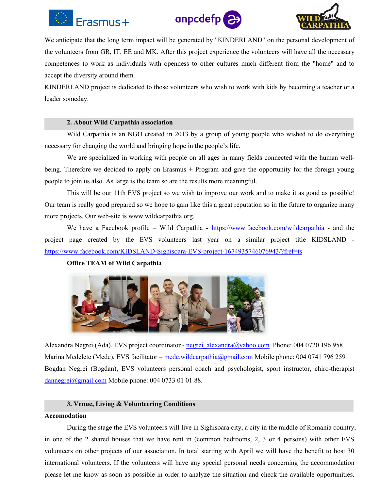





We anticipate that the long term impact will be generated by "KINDERLAND" on the personal development of the volunteers from GR, IT, EE and MK. After this project experience the volunteers will have all the necessary competences to work as individuals with openness to other cultures much different from the "home" and to accept the diversity around them.

KINDERLAND project is dedicated to those volunteers who wish to work with kids by becoming a teacher or a leader someday.

#### **2. About Wild Carpathia association**

Wild Carpathia is an NGO created in 2013 by a group of young people who wished to do everything necessary for changing the world and bringing hope in the people's life.

We are specialized in working with people on all ages in many fields connected with the human well being. Therefore we decided to apply on Erasmus + Program and give the opportunity for the foreign young people to join us also. As large is the team so are the results more meaningful.

This will be our 11th EVS project so we wish to improve our work and to make it as good as possible! Our team is really good prepared so we hope to gain like this a great reputation so in the future to organize many more projects. Our web-site is www.wildcarpathia.org.

We have a Facebook profile – Wild Carpathia - <https://www.facebook.com/wildcarpathia> - and the project page created by the EVS volunteers last year on a similar project title KIDSLAND <https://www.facebook.com/KIDSLAND-Sighisoara-EVS-project-1674935746076943/?fref=ts>

# **Office TEAM of Wild Carpathia**



Alexandra Negrei (Ada), EVS project coordinator - [negrei\\_alexandra@yahoo.com](mailto:negrei_alexandra@yahoo.com) Phone: 004 0720 196 958 Marina Medelete (Mede), EVS facilitator – [mede.wildcarpathia@gmail.com](mailto:mede.wildcarpathia@gmail.com) Mobile phone: 004 0741 796 259 Bogdan Negrei (Bogdan), EVS volunteers personal coach and psychologist, sport instructor, chiro-therapist [dannegrei@gmail.com](mailto:dannegrei@gmail.com) Mobile phone: 004 0733 01 01 88.

#### **3. Venue, Living & Volunteering Conditions**

#### **Accomodation**

During the stage the EVS volunteers will live in Sighisoara city, a city in the middle of Romania country, in one of the 2 shared houses that we have rent in (common bedrooms, 2, 3 or 4 persons) with other EVS volunteers on other projects of our association. In total starting with April we will have the benefit to host 30 international volunteers. If the volunteers will have any special personal needs concerning the accommodation please let me know as soon as possible in order to analyze the situation and check the available opportunities.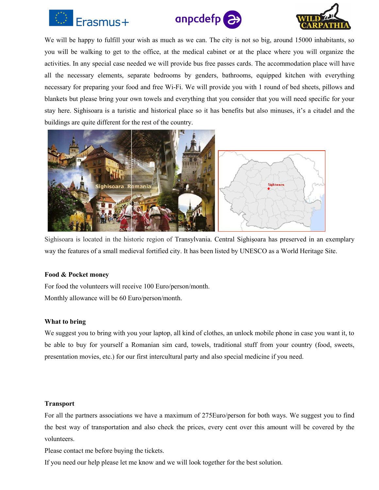





We will be happy to fulfill your wish as much as we can. The city is not so big, around 15000 inhabitants, so you will be walking to get to the office, at the medical cabinet or at the place where you will organize the activities. In any special case needed we will provide bus free passes cards. The accommodation place will have all the necessary elements, separate bedrooms by genders, bathrooms, equipped kitchen with everything necessary for preparing your food and free Wi-Fi.We will provide you with 1 round of bed sheets, pillows and blankets but please bring your own towels and everything that you consider that you will need specific for your stay here. Sighisoara isa turistic and historical place so it has benefits but also minuses, it's a citadel and the buildings are quite different for the rest of the country.



Sighisoara islocated in the historic region of [Transylvania.](https://en.wikipedia.org/wiki/Transylvania) Central [Sighișoara](https://en.wikipedia.org/wiki/Historic_Centre_of_Sighi%C8%99oara) has preserved in an exemplary way the features ofa small [medieval](https://en.wikipedia.org/wiki/Middle_Ages) fortified city. It has been listed by [UNESCO](https://en.wikipedia.org/wiki/UNESCO) as a World [Heritage](https://en.wikipedia.org/wiki/World_Heritage_Site) Site.

#### **Food & Pocket money**

For food the volunteers will receive 100 Euro/person/month. Monthly allowance will be 60 Euro/person/month.

# **What to bring**

We suggest you to bring with you your laptop, all kind of clothes, an unlock mobile phone in case you want it, to be able to buy for yourself a Romanian sim card, towels, traditional stuff from your country (food, sweets, presentation movies, etc.) for our first intercultural party and also special medicine if you need.

# **Transport**

For all the partners associations we have a maximum of 275Euro/person for both ways. We suggest you to find the best way of transportation and also check the prices, every cent over this amount will be covered by the volunteers.

Please contact me before buying the tickets.

If you need our help please let me know and we will look together for the best solution.